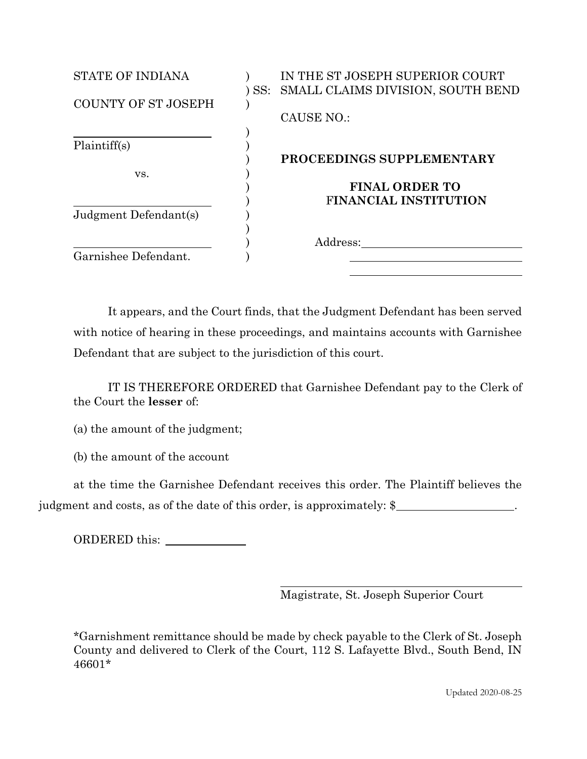| <b>STATE OF INDIANA</b> | IN THE ST JOSEPH SUPERIOR COURT<br>SS: SMALL CLAIMS DIVISION, SOUTH BEND |
|-------------------------|--------------------------------------------------------------------------|
| COUNTY OF ST JOSEPH     | CAUSE NO.:                                                               |
| Plaintiff(s)            | PROCEEDINGS SUPPLEMENTARY                                                |
| VS.                     | <b>FINAL ORDER TO</b>                                                    |
| Judgment Defendant(s)   | <b>FINANCIAL INSTITUTION</b>                                             |
| Garnishee Defendant.    | Address:                                                                 |

It appears, and the Court finds, that the Judgment Defendant has been served with notice of hearing in these proceedings, and maintains accounts with Garnishee Defendant that are subject to the jurisdiction of this court.

IT IS THEREFORE ORDERED that Garnishee Defendant pay to the Clerk of the Court the **lesser** of:

(a) the amount of the judgment;

(b) the amount of the account

at the time the Garnishee Defendant receives this order. The Plaintiff believes the judgment and costs, as of the date of this order, is approximately: \$

ORDERED this:

Magistrate, St. Joseph Superior Court

\*Garnishment remittance should be made by check payable to the Clerk of St. Joseph County and delivered to Clerk of the Court, 112 S. Lafayette Blvd., South Bend, IN 46601\*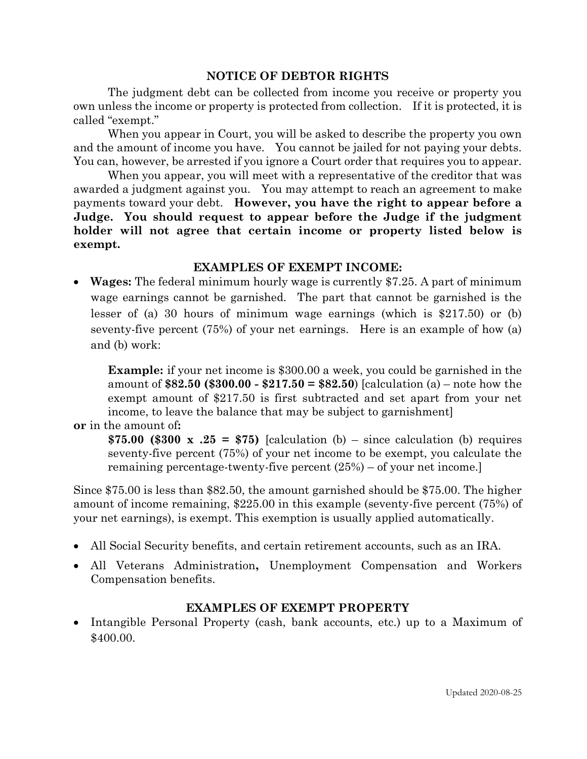## **NOTICE OF DEBTOR RIGHTS**

The judgment debt can be collected from income you receive or property you own unless the income or property is protected from collection. If it is protected, it is called "exempt."

When you appear in Court, you will be asked to describe the property you own and the amount of income you have. You cannot be jailed for not paying your debts. You can, however, be arrested if you ignore a Court order that requires you to appear.

When you appear, you will meet with a representative of the creditor that was awarded a judgment against you. You may attempt to reach an agreement to make payments toward your debt. **However, you have the right to appear before a Judge. You should request to appear before the Judge if the judgment holder will not agree that certain income or property listed below is exempt.** 

## **EXAMPLES OF EXEMPT INCOME:**

• **Wages:** The federal minimum hourly wage is currently \$7.25. A part of minimum wage earnings cannot be garnished. The part that cannot be garnished is the lesser of (a) 30 hours of minimum wage earnings (which is \$217.50) or (b) seventy-five percent (75%) of your net earnings. Here is an example of how (a) and (b) work:

**Example:** if your net income is \$300.00 a week, you could be garnished in the amount of **\$82.50 (\$300.00 - \$217.50 = \$82.50**) [calculation (a) – note how the exempt amount of \$217.50 is first subtracted and set apart from your net income, to leave the balance that may be subject to garnishment]

**or** in the amount of**:**

\$75.00 (\$300 x  $.25 = $75$ ) [calculation (b) – since calculation (b) requires seventy-five percent (75%) of your net income to be exempt, you calculate the remaining percentage-twenty-five percent (25%) – of your net income.]

Since \$75.00 is less than \$82.50, the amount garnished should be \$75.00. The higher amount of income remaining, \$225.00 in this example (seventy-five percent (75%) of your net earnings), is exempt. This exemption is usually applied automatically.

- All Social Security benefits, and certain retirement accounts, such as an IRA.
- All Veterans Administration**,** Unemployment Compensation and Workers Compensation benefits.

## **EXAMPLES OF EXEMPT PROPERTY**

• Intangible Personal Property (cash, bank accounts, etc.) up to a Maximum of \$400.00.